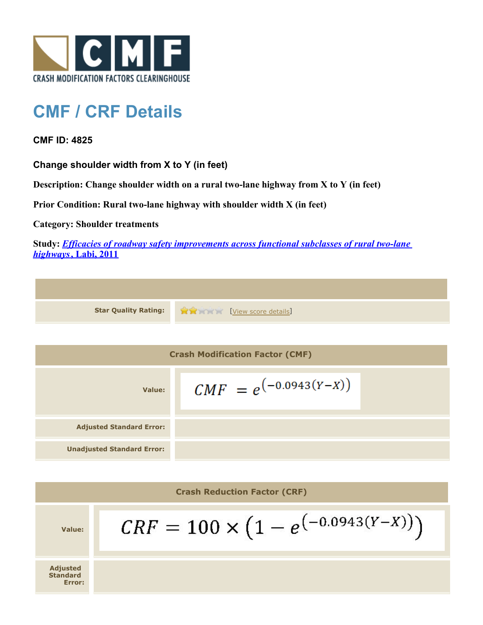

## **CMF / CRF Details**

**CMF ID: 4825**

**Standard Error:**

**Change shoulder width from X to Y (in feet)**

**Description: Change shoulder width on a rural two-lane highway from X to Y (in feet)**

**Prior Condition: Rural two-lane highway with shoulder width X (in feet)**

**Category: Shoulder treatments**

**Study:** *[Efficacies of roadway safety improvements across functional subclasses of rural two-lane](http://www.cmfclearinghouse.org/study_detail.cfm?stid=310) [highways](http://www.cmfclearinghouse.org/study_detail.cfm?stid=310)***[, Labi, 2011](http://www.cmfclearinghouse.org/study_detail.cfm?stid=310)**

|                                        | <b>Star Quality Rating:</b>                 | View score details         |  |  |
|----------------------------------------|---------------------------------------------|----------------------------|--|--|
|                                        |                                             |                            |  |  |
| <b>Crash Modification Factor (CMF)</b> |                                             |                            |  |  |
| Value:                                 |                                             | $CMF = e^{(-0.0943(Y-X))}$ |  |  |
| <b>Adjusted Standard Error:</b>        |                                             |                            |  |  |
| <b>Unadjusted Standard Error:</b>      |                                             |                            |  |  |
|                                        |                                             |                            |  |  |
| <b>Crash Reduction Factor (CRF)</b>    |                                             |                            |  |  |
| Value:                                 | $CRF = 100 \times (1 - e^{(-0.0943(Y-X))})$ |                            |  |  |
| <b>Adjusted</b>                        |                                             |                            |  |  |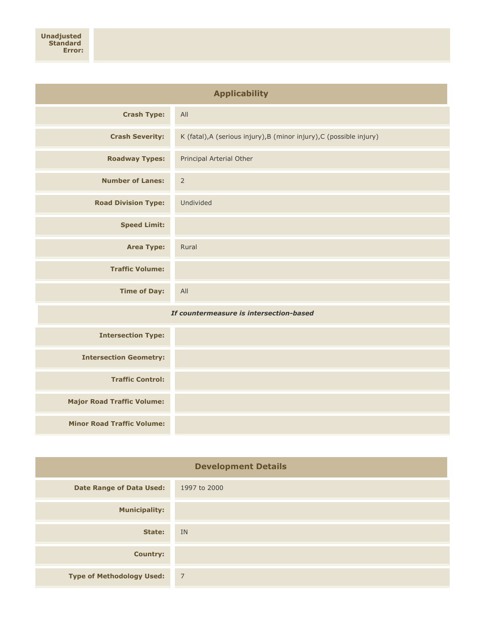| <b>Applicability</b>                    |                                                                      |  |  |  |
|-----------------------------------------|----------------------------------------------------------------------|--|--|--|
| <b>Crash Type:</b>                      | All                                                                  |  |  |  |
| <b>Crash Severity:</b>                  | K (fatal), A (serious injury), B (minor injury), C (possible injury) |  |  |  |
| <b>Roadway Types:</b>                   | Principal Arterial Other                                             |  |  |  |
| <b>Number of Lanes:</b>                 | $\mathsf{2}$                                                         |  |  |  |
| <b>Road Division Type:</b>              | Undivided                                                            |  |  |  |
| <b>Speed Limit:</b>                     |                                                                      |  |  |  |
| <b>Area Type:</b>                       | Rural                                                                |  |  |  |
| <b>Traffic Volume:</b>                  |                                                                      |  |  |  |
| <b>Time of Day:</b>                     | All                                                                  |  |  |  |
| If countermeasure is intersection-based |                                                                      |  |  |  |
| <b>Intersection Type:</b>               |                                                                      |  |  |  |
| <b>Intersection Geometry:</b>           |                                                                      |  |  |  |
| <b>Traffic Control:</b>                 |                                                                      |  |  |  |
| <b>Major Road Traffic Volume:</b>       |                                                                      |  |  |  |
| <b>Minor Road Traffic Volume:</b>       |                                                                      |  |  |  |

| <b>Development Details</b>       |                |  |
|----------------------------------|----------------|--|
| <b>Date Range of Data Used:</b>  | 1997 to 2000   |  |
| <b>Municipality:</b>             |                |  |
| State:                           | IN             |  |
| <b>Country:</b>                  |                |  |
| <b>Type of Methodology Used:</b> | $\overline{7}$ |  |